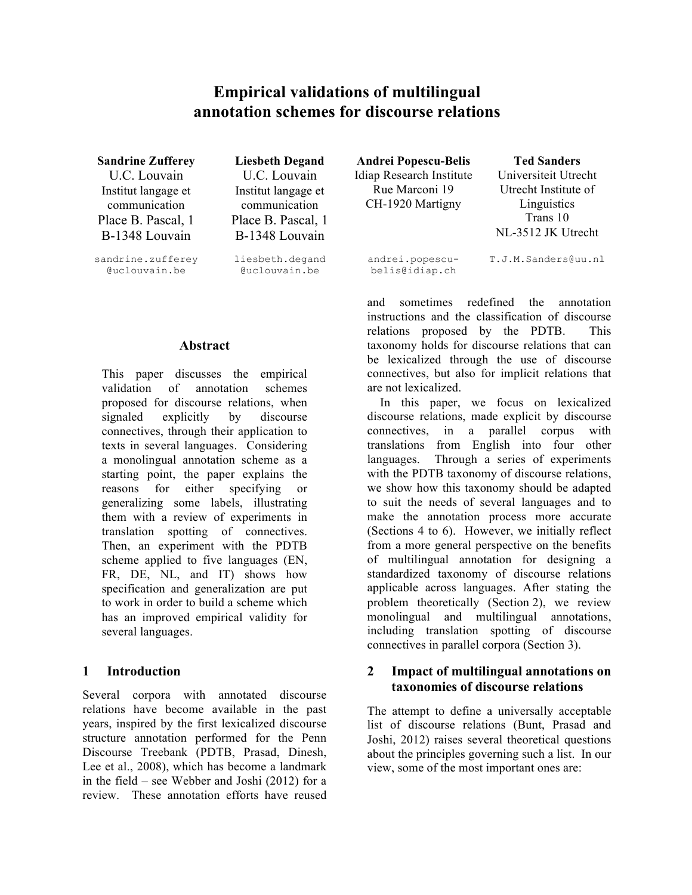# **Empirical validations of multilingual annotation schemes for discourse relations**

U.C. Louvain Institut langage et communication Place B. Pascal, 1 B-1348 Louvain

sandrine.zufferey @uclouvain.be

U.C. Louvain Institut langage et communication Place B. Pascal, 1 B-1348 Louvain

liesbeth.degand @uclouvain.be

#### **Abstract**

This paper discusses the empirical validation of annotation schemes proposed for discourse relations, when signaled explicitly by discourse connectives, through their application to texts in several languages. Considering a monolingual annotation scheme as a starting point, the paper explains the reasons for either specifying or generalizing some labels, illustrating them with a review of experiments in translation spotting of connectives. Then, an experiment with the PDTB scheme applied to five languages (EN, FR, DE, NL, and IT) shows how specification and generalization are put to work in order to build a scheme which has an improved empirical validity for several languages.

## **1 Introduction**

Several corpora with annotated discourse relations have become available in the past years, inspired by the first lexicalized discourse structure annotation performed for the Penn Discourse Treebank (PDTB, Prasad, Dinesh, Lee et al., 2008), which has become a landmark in the field – see Webber and Joshi (2012) for a review. These annotation efforts have reused

**Sandrine Zufferey Liesbeth Degand Andrei Popescu-Belis Ted Sanders** Idiap Research Institute Rue Marconi 19 CH-1920 Martigny

Universiteit Utrecht Utrecht Institute of Linguistics Trans 10 NL-3512 JK Utrecht

andrei.popescubelis@idiap.ch

T.J.M.Sanders@uu.nl

and sometimes redefined the annotation instructions and the classification of discourse relations proposed by the PDTB. This taxonomy holds for discourse relations that can be lexicalized through the use of discourse connectives, but also for implicit relations that are not lexicalized.

In this paper, we focus on lexicalized discourse relations, made explicit by discourse connectives, in a parallel corpus with translations from English into four other languages. Through a series of experiments with the PDTB taxonomy of discourse relations, we show how this taxonomy should be adapted to suit the needs of several languages and to make the annotation process more accurate (Sections 4 to 6). However, we initially reflect from a more general perspective on the benefits of multilingual annotation for designing a standardized taxonomy of discourse relations applicable across languages. After stating the problem theoretically (Section 2), we review monolingual and multilingual annotations, including translation spotting of discourse connectives in parallel corpora (Section 3).

## **2 Impact of multilingual annotations on taxonomies of discourse relations**

The attempt to define a universally acceptable list of discourse relations (Bunt, Prasad and Joshi, 2012) raises several theoretical questions about the principles governing such a list. In our view, some of the most important ones are: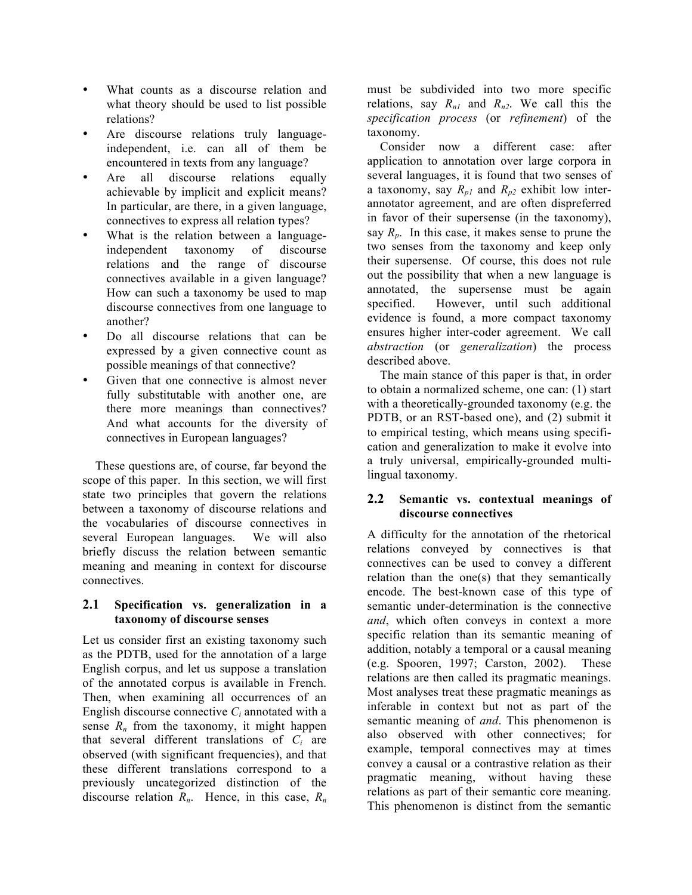- What counts as a discourse relation and what theory should be used to list possible relations?
- Are discourse relations truly languageindependent, i.e. can all of them be encountered in texts from any language?
- Are all discourse relations equally achievable by implicit and explicit means? In particular, are there, in a given language, connectives to express all relation types?
- What is the relation between a languageindependent taxonomy of discourse relations and the range of discourse connectives available in a given language? How can such a taxonomy be used to map discourse connectives from one language to another?
- Do all discourse relations that can be expressed by a given connective count as possible meanings of that connective?
- Given that one connective is almost never fully substitutable with another one, are there more meanings than connectives? And what accounts for the diversity of connectives in European languages?

These questions are, of course, far beyond the scope of this paper. In this section, we will first state two principles that govern the relations between a taxonomy of discourse relations and the vocabularies of discourse connectives in several European languages. We will also briefly discuss the relation between semantic meaning and meaning in context for discourse connectives.

#### **2.1 Specification vs. generalization in a taxonomy of discourse senses**

Let us consider first an existing taxonomy such as the PDTB, used for the annotation of a large English corpus, and let us suppose a translation of the annotated corpus is available in French. Then, when examining all occurrences of an English discourse connective  $C_i$  annotated with a sense  $R_n$  from the taxonomy, it might happen that several different translations of  $C_i$  are observed (with significant frequencies), and that these different translations correspond to a previously uncategorized distinction of the discourse relation  $R_n$ . Hence, in this case,  $R_n$  must be subdivided into two more specific relations, say  $R_{nl}$  and  $R_{n2}$ . We call this the *specification process* (or *refinement*) of the taxonomy.

Consider now a different case: after application to annotation over large corpora in several languages, it is found that two senses of a taxonomy, say  $R_{p1}$  and  $R_{p2}$  exhibit low interannotator agreement, and are often dispreferred in favor of their supersense (in the taxonomy), say  $R_p$ . In this case, it makes sense to prune the two senses from the taxonomy and keep only their supersense. Of course, this does not rule out the possibility that when a new language is annotated, the supersense must be again specified. However, until such additional evidence is found, a more compact taxonomy ensures higher inter-coder agreement. We call *abstraction* (or *generalization*) the process described above.

The main stance of this paper is that, in order to obtain a normalized scheme, one can: (1) start with a theoretically-grounded taxonomy (e.g. the PDTB, or an RST-based one), and (2) submit it to empirical testing, which means using specification and generalization to make it evolve into a truly universal, empirically-grounded multilingual taxonomy.

#### **2.2 Semantic vs. contextual meanings of discourse connectives**

A difficulty for the annotation of the rhetorical relations conveyed by connectives is that connectives can be used to convey a different relation than the one(s) that they semantically encode. The best-known case of this type of semantic under-determination is the connective *and*, which often conveys in context a more specific relation than its semantic meaning of addition, notably a temporal or a causal meaning (e.g. Spooren, 1997; Carston, 2002). These relations are then called its pragmatic meanings. Most analyses treat these pragmatic meanings as inferable in context but not as part of the semantic meaning of *and*. This phenomenon is also observed with other connectives; for example, temporal connectives may at times convey a causal or a contrastive relation as their pragmatic meaning, without having these relations as part of their semantic core meaning. This phenomenon is distinct from the semantic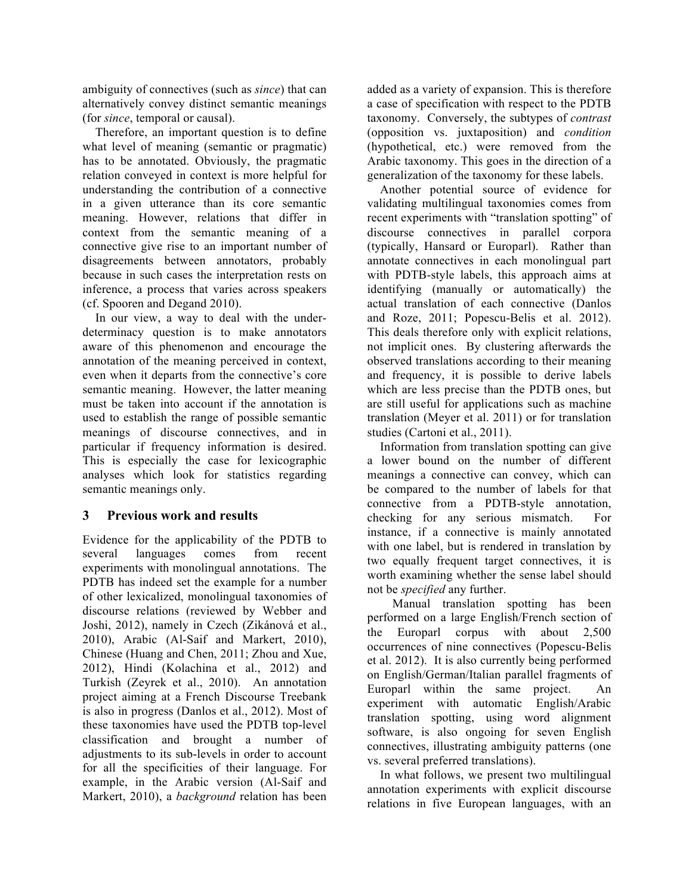ambiguity of connectives (such as *since*) that can alternatively convey distinct semantic meanings (for *since*, temporal or causal).

Therefore, an important question is to define what level of meaning (semantic or pragmatic) has to be annotated. Obviously, the pragmatic relation conveyed in context is more helpful for understanding the contribution of a connective in a given utterance than its core semantic meaning. However, relations that differ in context from the semantic meaning of a connective give rise to an important number of disagreements between annotators, probably because in such cases the interpretation rests on inference, a process that varies across speakers (cf. Spooren and Degand 2010).

In our view, a way to deal with the underdeterminacy question is to make annotators aware of this phenomenon and encourage the annotation of the meaning perceived in context, even when it departs from the connective's core semantic meaning. However, the latter meaning must be taken into account if the annotation is used to establish the range of possible semantic meanings of discourse connectives, and in particular if frequency information is desired. This is especially the case for lexicographic analyses which look for statistics regarding semantic meanings only.

## **3 Previous work and results**

Evidence for the applicability of the PDTB to several languages comes from recent experiments with monolingual annotations. The PDTB has indeed set the example for a number of other lexicalized, monolingual taxonomies of discourse relations (reviewed by Webber and Joshi, 2012), namely in Czech (Zikánová et al., 2010), Arabic (Al-Saif and Markert, 2010), Chinese (Huang and Chen, 2011; Zhou and Xue, 2012), Hindi (Kolachina et al., 2012) and Turkish (Zeyrek et al., 2010). An annotation project aiming at a French Discourse Treebank is also in progress (Danlos et al., 2012). Most of these taxonomies have used the PDTB top-level classification and brought a number of adjustments to its sub-levels in order to account for all the specificities of their language. For example, in the Arabic version (Al-Saif and Markert, 2010), a *background* relation has been added as a variety of expansion. This is therefore a case of specification with respect to the PDTB taxonomy. Conversely, the subtypes of *contrast* (opposition vs. juxtaposition) and *condition* (hypothetical, etc.) were removed from the Arabic taxonomy. This goes in the direction of a generalization of the taxonomy for these labels.

Another potential source of evidence for validating multilingual taxonomies comes from recent experiments with "translation spotting" of discourse connectives in parallel corpora (typically, Hansard or Europarl). Rather than annotate connectives in each monolingual part with PDTB-style labels, this approach aims at identifying (manually or automatically) the actual translation of each connective (Danlos and Roze, 2011; Popescu-Belis et al. 2012). This deals therefore only with explicit relations, not implicit ones. By clustering afterwards the observed translations according to their meaning and frequency, it is possible to derive labels which are less precise than the PDTB ones, but are still useful for applications such as machine translation (Meyer et al. 2011) or for translation studies (Cartoni et al., 2011).

Information from translation spotting can give a lower bound on the number of different meanings a connective can convey, which can be compared to the number of labels for that connective from a PDTB-style annotation, checking for any serious mismatch. For instance, if a connective is mainly annotated with one label, but is rendered in translation by two equally frequent target connectives, it is worth examining whether the sense label should not be *specified* any further.

 Manual translation spotting has been performed on a large English/French section of the Europarl corpus with about 2,500 occurrences of nine connectives (Popescu-Belis et al. 2012). It is also currently being performed on English/German/Italian parallel fragments of Europarl within the same project. An experiment with automatic English/Arabic translation spotting, using word alignment software, is also ongoing for seven English connectives, illustrating ambiguity patterns (one vs. several preferred translations).

In what follows, we present two multilingual annotation experiments with explicit discourse relations in five European languages, with an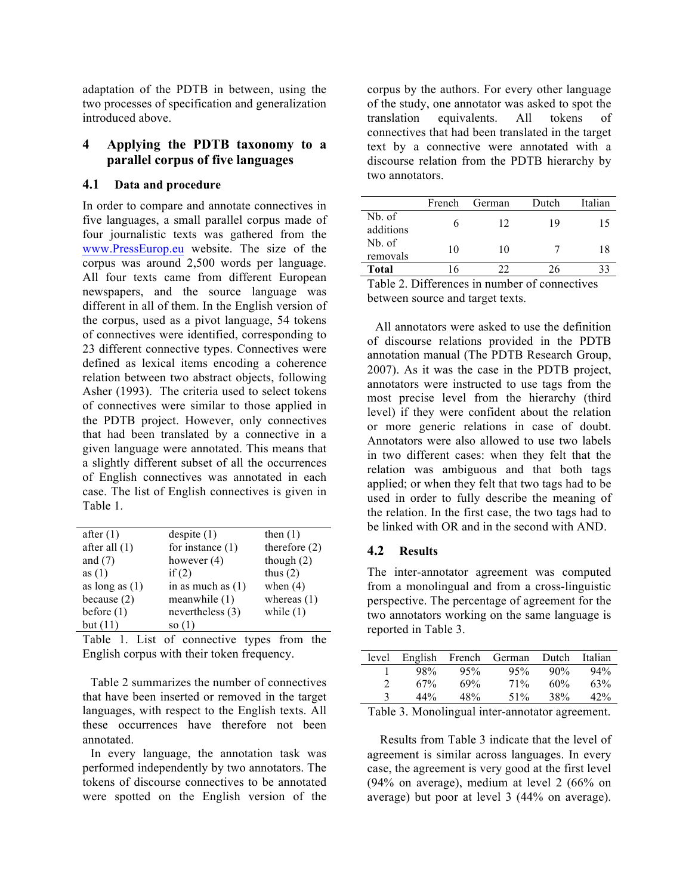adaptation of the PDTB in between, using the two processes of specification and generalization introduced above.

## **4 Applying the PDTB taxonomy to a parallel corpus of five languages**

#### **4.1 Data and procedure**

In order to compare and annotate connectives in five languages, a small parallel corpus made of four journalistic texts was gathered from the www.PressEurop.eu website. The size of the corpus was around 2,500 words per language. All four texts came from different European newspapers, and the source language was different in all of them. In the English version of the corpus, used as a pivot language, 54 tokens of connectives were identified, corresponding to 23 different connective types. Connectives were defined as lexical items encoding a coherence relation between two abstract objects, following Asher (1993). The criteria used to select tokens of connectives were similar to those applied in the PDTB project. However, only connectives that had been translated by a connective in a given language were annotated. This means that a slightly different subset of all the occurrences of English connectives was annotated in each case. The list of English connectives is given in Table 1.

| after $(1)$      | despite $(1)$       | then $(1)$      |
|------------------|---------------------|-----------------|
| after all $(1)$  | for instance $(1)$  | therefore $(2)$ |
| and $(7)$        | however $(4)$       | though $(2)$    |
| as $(1)$         | if $(2)$            | thus $(2)$      |
| as long as $(1)$ | in as much as $(1)$ | when $(4)$      |
| because $(2)$    | meanwhile (1)       | whereas $(1)$   |
| before $(1)$     | nevertheless (3)    | while $(1)$     |
| but $(11)$       | so (1)              |                 |

Table 1. List of connective types from the English corpus with their token frequency.

Table 2 summarizes the number of connectives that have been inserted or removed in the target languages, with respect to the English texts. All these occurrences have therefore not been annotated.

In every language, the annotation task was performed independently by two annotators. The tokens of discourse connectives to be annotated were spotted on the English version of the corpus by the authors. For every other language of the study, one annotator was asked to spot the translation equivalents. All tokens of connectives that had been translated in the target text by a connective were annotated with a discourse relation from the PDTB hierarchy by two annotators.

|                     | French | German | Dutch | Italian |
|---------------------|--------|--------|-------|---------|
| Nb. of<br>additions |        | 12     | 19    | 15      |
| Nb. of<br>removals  | 10     | 10     |       | 18      |
| <b>Total</b>        | 16     | າາ     | 26    | 33      |

Table 2. Differences in number of connectives between source and target texts.

All annotators were asked to use the definition of discourse relations provided in the PDTB annotation manual (The PDTB Research Group, 2007). As it was the case in the PDTB project, annotators were instructed to use tags from the most precise level from the hierarchy (third level) if they were confident about the relation or more generic relations in case of doubt. Annotators were also allowed to use two labels in two different cases: when they felt that the relation was ambiguous and that both tags applied; or when they felt that two tags had to be used in order to fully describe the meaning of the relation. In the first case, the two tags had to be linked with OR and in the second with AND.

## **4.2 Results**

The inter-annotator agreement was computed from a monolingual and from a cross-linguistic perspective. The percentage of agreement for the two annotators working on the same language is reported in Table 3.

| level                       | English | French | German | Dutch  | Italian |
|-----------------------------|---------|--------|--------|--------|---------|
|                             | 98%     | 95%    | 95%    | $90\%$ | 94%     |
| $\mathcal{D}_{\mathcal{L}}$ | 67%     | 69%    | 71%    | 60%    | 63%     |
| 3                           | 44%     | 48%    | 51%    | 38%    | 42%     |
|                             |         |        |        |        |         |

Table 3. Monolingual inter-annotator agreement.

Results from Table 3 indicate that the level of agreement is similar across languages. In every case, the agreement is very good at the first level (94% on average), medium at level 2 (66% on average) but poor at level 3 (44% on average).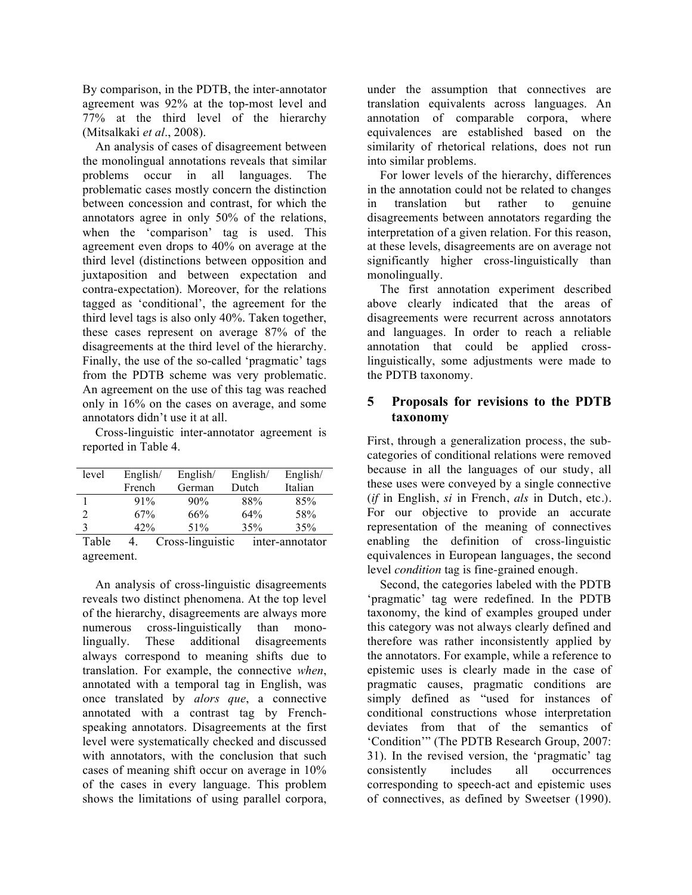By comparison, in the PDTB, the inter-annotator agreement was 92% at the top-most level and 77% at the third level of the hierarchy (Mitsalkaki *et al*., 2008).

An analysis of cases of disagreement between the monolingual annotations reveals that similar problems occur in all languages. The problematic cases mostly concern the distinction between concession and contrast, for which the annotators agree in only 50% of the relations, when the 'comparison' tag is used. This agreement even drops to 40% on average at the third level (distinctions between opposition and juxtaposition and between expectation and contra-expectation). Moreover, for the relations tagged as 'conditional', the agreement for the third level tags is also only 40%. Taken together, these cases represent on average 87% of the disagreements at the third level of the hierarchy. Finally, the use of the so-called 'pragmatic' tags from the PDTB scheme was very problematic. An agreement on the use of this tag was reached only in 16% on the cases on average, and some annotators didn't use it at all.

Cross-linguistic inter-annotator agreement is reported in Table 4.

| level      | English/    | English/         | English/ | English/        |
|------------|-------------|------------------|----------|-----------------|
|            | French      | German           | Dutch    | Italian         |
|            | 91%         | 90%              | 88%      | 85%             |
| 2          | 67%         | 66%              | 64%      | 58%             |
| 3          | 42%         | 51%              | 35%      | 35%             |
| Table      | $4_{\cdot}$ | Cross-linguistic |          | inter-annotator |
| agreement. |             |                  |          |                 |

An analysis of cross-linguistic disagreements reveals two distinct phenomena. At the top level of the hierarchy, disagreements are always more numerous cross-linguistically than monolingually. These additional disagreements always correspond to meaning shifts due to translation. For example, the connective *when*, annotated with a temporal tag in English, was once translated by *alors que*, a connective annotated with a contrast tag by Frenchspeaking annotators. Disagreements at the first level were systematically checked and discussed with annotators, with the conclusion that such cases of meaning shift occur on average in 10% of the cases in every language. This problem shows the limitations of using parallel corpora, under the assumption that connectives are translation equivalents across languages. An annotation of comparable corpora, where equivalences are established based on the similarity of rhetorical relations, does not run into similar problems.

For lower levels of the hierarchy, differences in the annotation could not be related to changes in translation but rather to genuine disagreements between annotators regarding the interpretation of a given relation. For this reason, at these levels, disagreements are on average not significantly higher cross-linguistically than monolingually.

The first annotation experiment described above clearly indicated that the areas of disagreements were recurrent across annotators and languages. In order to reach a reliable annotation that could be applied crosslinguistically, some adjustments were made to the PDTB taxonomy.

## **5 Proposals for revisions to the PDTB taxonomy**

First, through a generalization process, the subcategories of conditional relations were removed because in all the languages of our study, all these uses were conveyed by a single connective (*if* in English, *si* in French, *als* in Dutch, etc.). For our objective to provide an accurate representation of the meaning of connectives enabling the definition of cross-linguistic equivalences in European languages, the second level *condition* tag is fine-grained enough.

Second, the categories labeled with the PDTB 'pragmatic' tag were redefined. In the PDTB taxonomy, the kind of examples grouped under this category was not always clearly defined and therefore was rather inconsistently applied by the annotators. For example, while a reference to epistemic uses is clearly made in the case of pragmatic causes, pragmatic conditions are simply defined as "used for instances of conditional constructions whose interpretation deviates from that of the semantics of 'Condition'" (The PDTB Research Group, 2007: 31). In the revised version, the 'pragmatic' tag consistently includes all occurrences corresponding to speech-act and epistemic uses of connectives, as defined by Sweetser (1990).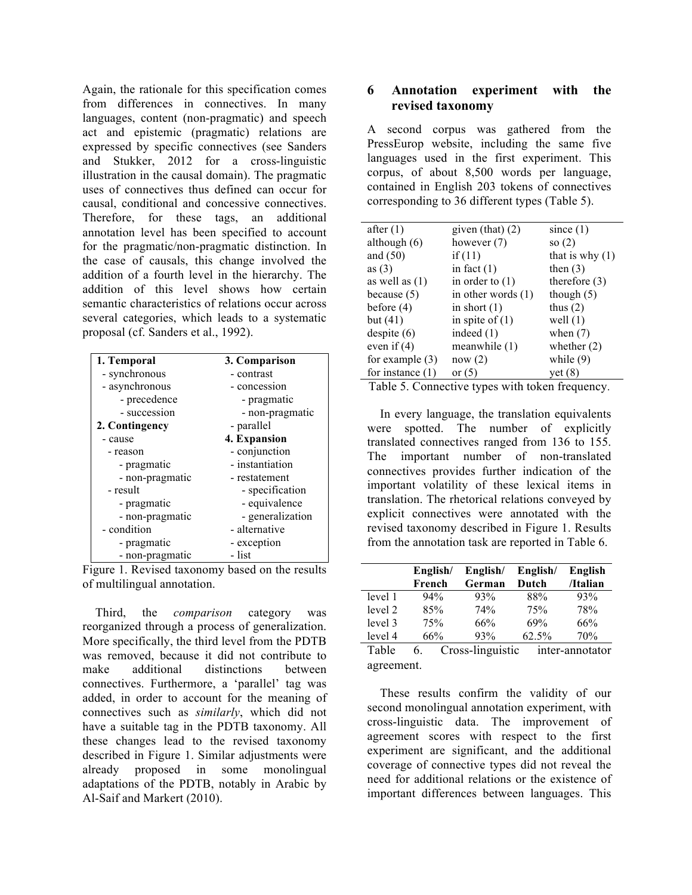Again, the rationale for this specification comes from differences in connectives. In many languages, content (non-pragmatic) and speech act and epistemic (pragmatic) relations are expressed by specific connectives (see Sanders and Stukker, 2012 for a cross-linguistic illustration in the causal domain). The pragmatic uses of connectives thus defined can occur for causal, conditional and concessive connectives. Therefore, for these tags, an additional annotation level has been specified to account for the pragmatic/non-pragmatic distinction. In the case of causals, this change involved the addition of a fourth level in the hierarchy. The addition of this level shows how certain semantic characteristics of relations occur across several categories, which leads to a systematic proposal (cf. Sanders et al., 1992).

| 1. Temporal     | 3. Comparison    |
|-----------------|------------------|
| - synchronous   | - contrast       |
| - asynchronous  | - concession     |
| - precedence    | - pragmatic      |
| - succession    | - non-pragmatic  |
| 2. Contingency  | - parallel       |
| - cause         | 4. Expansion     |
| - reason        | - conjunction    |
| - pragmatic     | - instantiation  |
| - non-pragmatic | - restatement    |
| - result        | - specification  |
| - pragmatic     | - equivalence    |
| - non-pragmatic | - generalization |
| - condition     | - alternative    |
| - pragmatic     | - exception      |
| - non-pragmatic | - list           |
|                 |                  |



Third, the *comparison* category was reorganized through a process of generalization. More specifically, the third level from the PDTB was removed, because it did not contribute to make additional distinctions between connectives. Furthermore, a 'parallel' tag was added, in order to account for the meaning of connectives such as *similarly*, which did not have a suitable tag in the PDTB taxonomy. All these changes lead to the revised taxonomy described in Figure 1. Similar adjustments were already proposed in some monolingual adaptations of the PDTB, notably in Arabic by Al-Saif and Markert (2010).

#### **6 Annotation experiment with the revised taxonomy**

A second corpus was gathered from the PressEurop website, including the same five languages used in the first experiment. This corpus, of about 8,500 words per language, contained in English 203 tokens of connectives corresponding to 36 different types (Table 5).

| after $(1)$        | given (that) $(2)$   | since $(1)$       |
|--------------------|----------------------|-------------------|
| although $(6)$     | however $(7)$        | so $(2)$          |
| and $(50)$         | if $(11)$            | that is why $(1)$ |
| as $(3)$           | in fact $(1)$        | then $(3)$        |
| as well as $(1)$   | in order to $(1)$    | therefore $(3)$   |
| because $(5)$      | in other words $(1)$ | though $(5)$      |
| before $(4)$       | in short $(1)$       | thus $(2)$        |
| but $(41)$         | in spite of $(1)$    | well $(1)$        |
| despite (6)        | indeed $(1)$         | when $(7)$        |
| even if $(4)$      | meanwhile (1)        | whether $(2)$     |
| for example $(3)$  | now (2)              | while $(9)$       |
| for instance $(1)$ | or $(5)$             | yet $(8)$         |

Table 5. Connective types with token frequency.

In every language, the translation equivalents were spotted. The number of explicitly translated connectives ranged from 136 to 155. The important number of non-translated connectives provides further indication of the important volatility of these lexical items in translation. The rhetorical relations conveyed by explicit connectives were annotated with the revised taxonomy described in Figure 1. Results from the annotation task are reported in Table 6.

|         | English/ | English/ | English/ | English  |
|---------|----------|----------|----------|----------|
|         | French   | German   | Dutch    | /Italian |
| level 1 | 94%      | 93%      | 88%      | 93%      |
| level 2 | 85%      | 74%      | 75%      | 78%      |
| level 3 | 75%      | 66%      | 69%      | 66%      |
| level 4 | 66%      | 93%      | 62.5%    | 70%      |

Table 6. Cross-linguistic inter-annotator agreement.

These results confirm the validity of our second monolingual annotation experiment, with cross-linguistic data. The improvement of agreement scores with respect to the first experiment are significant, and the additional coverage of connective types did not reveal the need for additional relations or the existence of important differences between languages. This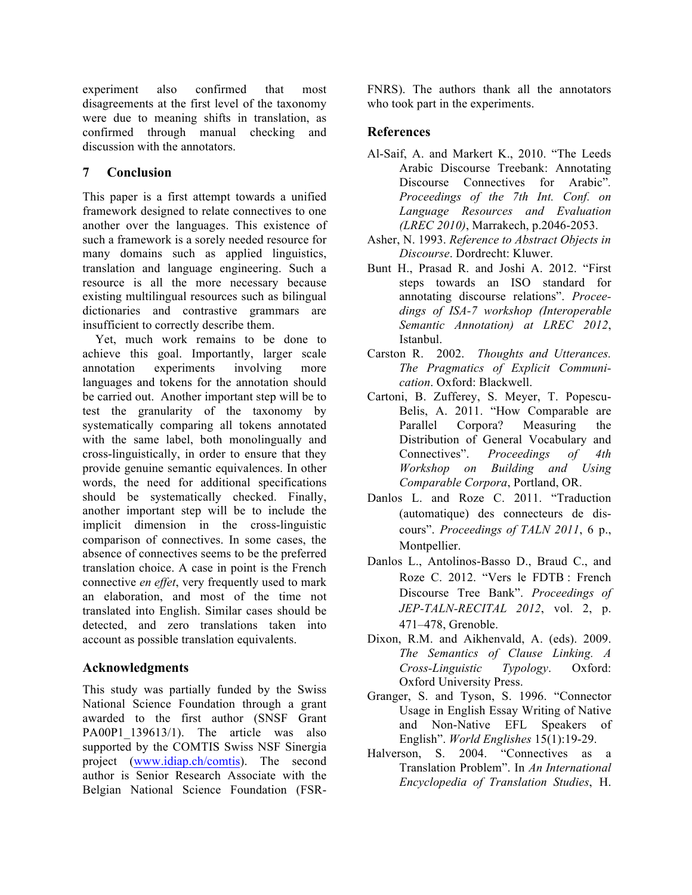experiment also confirmed that most disagreements at the first level of the taxonomy were due to meaning shifts in translation, as confirmed through manual checking and discussion with the annotators.

## **7 Conclusion**

This paper is a first attempt towards a unified framework designed to relate connectives to one another over the languages. This existence of such a framework is a sorely needed resource for many domains such as applied linguistics, translation and language engineering. Such a resource is all the more necessary because existing multilingual resources such as bilingual dictionaries and contrastive grammars are insufficient to correctly describe them.

Yet, much work remains to be done to achieve this goal. Importantly, larger scale annotation experiments involving more languages and tokens for the annotation should be carried out. Another important step will be to test the granularity of the taxonomy by systematically comparing all tokens annotated with the same label, both monolingually and cross-linguistically, in order to ensure that they provide genuine semantic equivalences. In other words, the need for additional specifications should be systematically checked. Finally, another important step will be to include the implicit dimension in the cross-linguistic comparison of connectives. In some cases, the absence of connectives seems to be the preferred translation choice. A case in point is the French connective *en effet*, very frequently used to mark an elaboration, and most of the time not translated into English. Similar cases should be detected, and zero translations taken into account as possible translation equivalents.

## **Acknowledgments**

This study was partially funded by the Swiss National Science Foundation through a grant awarded to the first author (SNSF Grant PA00P1 139613/1). The article was also supported by the COMTIS Swiss NSF Sinergia project (www.idiap.ch/comtis). The second author is Senior Research Associate with the Belgian National Science Foundation (FSR-

FNRS). The authors thank all the annotators who took part in the experiments.

# **References**

- Al-Saif, A. and Markert K., 2010. "The Leeds Arabic Discourse Treebank: Annotating Discourse Connectives for Arabic"*. Proceedings of the 7th Int. Conf. on Language Resources and Evaluation (LREC 2010)*, Marrakech, p.2046-2053.
- Asher, N. 1993. *Reference to Abstract Objects in Discourse*. Dordrecht: Kluwer.
- Bunt H., Prasad R. and Joshi A. 2012. "First steps towards an ISO standard for annotating discourse relations". *Proceedings of ISA-7 workshop (Interoperable Semantic Annotation) at LREC 2012*, Istanbul.
- Carston R. 2002. *Thoughts and Utterances. The Pragmatics of Explicit Communication*. Oxford: Blackwell.
- Cartoni, B. Zufferey, S. Meyer, T. Popescu-Belis, A. 2011. "How Comparable are Parallel Corpora? Measuring the Distribution of General Vocabulary and Connectives". *Proceedings of 4th Workshop on Building and Using Comparable Corpora*, Portland, OR.
- Danlos L. and Roze C. 2011. "Traduction (automatique) des connecteurs de discours". *Proceedings of TALN 2011*, 6 p., Montpellier.
- Danlos L., Antolinos-Basso D., Braud C., and Roze C. 2012. "Vers le FDTB : French Discourse Tree Bank". *Proceedings of JEP-TALN-RECITAL 2012*, vol. 2, p. 471–478, Grenoble.
- Dixon, R.M. and Aikhenvald, A. (eds). 2009. *The Semantics of Clause Linking. A Cross-Linguistic Typology*. Oxford: Oxford University Press.
- Granger, S. and Tyson, S. 1996. "Connector Usage in English Essay Writing of Native and Non-Native EFL Speakers of English". *World Englishes* 15(1):19-29.
- Halverson, S. 2004. "Connectives as a Translation Problem". In *An International Encyclopedia of Translation Studies*, H.